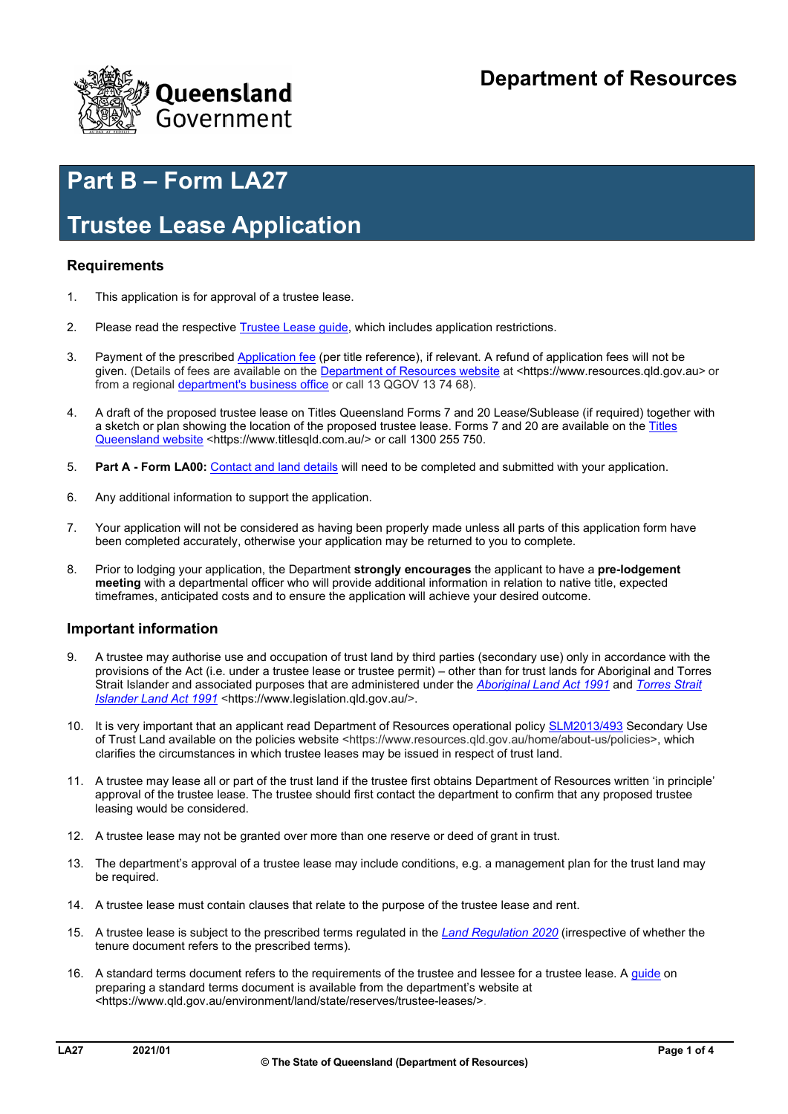

# **Part B – Form LA27**

## **Trustee Lease Application**

### **Requirements**

- 1. This application is for approval of a trustee lease.
- 2. Please read the respective [Trustee Lease guide,](https://www.qld.gov.au/environment/land/state/reserves/trustee-leases) which includes application restrictions.
- 3. Payment of the prescribe[d Application fee](https://www.qld.gov.au/environment/land/state/forms) (per title reference), if relevant. A refund of application fees will not be given. (Details of fees are available on the [Department of Resources website](https://www.resources.qld.gov.au/) at <<https://www.resources.qld.gov.au>> or from a regiona[l department's business office o](https://www.resources.qld.gov.au/?contact=state_land)r call 13 QGOV 13 74 68).
- 4. A draft of the proposed trustee lease on Titles Queensland Forms 7 and 20 Lease/Sublease (if required) together with a sketch or plan showing the location of the proposed trustee lease. Forms 7 and 20 are available on the Titles [Queensland website](https://www.titlesqld.com.au/) [<https://www.titlesqld.com.au/](https://www.titlesqld.com.au)> or call 1300 255 750.
- 5. **Part A - Form LA00:** [Contact and land details](https://www.resources.qld.gov.au/__data/assets/pdf_file/0018/101781/state-land-form-la00.pdf) will need to be completed and submitted with your application.
- 6. Any additional information to support the application.
- 7. Your application will not be considered as having been properly made unless all parts of this application form have been completed accurately, otherwise your application may be returned to you to complete.
- 8. Prior to lodging your application, the Department **strongly encourages** the applicant to have a **pre-lodgement meeting** with a departmental officer who will provide additional information in relation to native title, expected timeframes, anticipated costs and to ensure the application will achieve your desired outcome.

#### **Important information**

- 9. A trustee may authorise use and occupation of trust land by third parties (secondary use) only in accordance with the provisions of the Act (i.e. under a trustee lease or trustee permit) – other than for trust lands for Aboriginal and Torres Strait Islander and associated purposes that are administered under the *[Aboriginal Land Act 1991](https://www.legislation.qld.gov.au/view/html/inforce/current/act-1991-032)* and *[Torres Strait](https://www.legislation.qld.gov.au/view/html/inforce/current/act-1991-033)  Islander Land Act 1991* [<](https://www.legislation.qld.gov.au/)<https://www.legislation.qld.gov.au>[/>](https://www.legislation.qld.gov.au/).
- 10. It is very important that an applicant read Department of Resources operational polic[y SLM2013/493](https://www.dnrme.qld.gov.au/?a=109113:policy_registry/secondary-use-of-trust-land.pdf) Secondary Use of Trust Land available on the policies website <<https://www.resources.qld.gov.au/home/about-us/policies>>, which clarifies the circumstances in which trustee leases may be issued in respect of trust land.
- 11. A trustee may lease all or part of the trust land if the trustee first obtains Department of Resources written 'in principle' approval of the trustee lease. The trustee should first contact the department to confirm that any proposed trustee leasing would be considered.
- 12. A trustee lease may not be granted over more than one reserve or deed of grant in trust.
- 13. The department's approval of a trustee lease may include conditions, e.g. a management plan for the trust land may be required.
- 14. A trustee lease must contain clauses that relate to the purpose of the trustee lease and rent.
- 15. A trustee lease is subject to the prescribed terms regulated in the *[Land Regulation 2020](https://www.legislation.qld.gov.au/view/html/inforce/current/sl-2020-0106)* (irrespective of whether the tenure document refers to the prescribed terms).
- 16. A standard terms document refers to the requirements of the trustee and lessee for a trustee lease. A [guide](https://www.qld.gov.au/environment/land/state/reserves/trustee-leases) on preparing a standard terms document is available from the department's website at [<https://www.qld.gov.au/environment/land/state/reserves/trustee-leases/](https://www.qld.gov.au/environment/land/state/reserves/trustee-leases)>.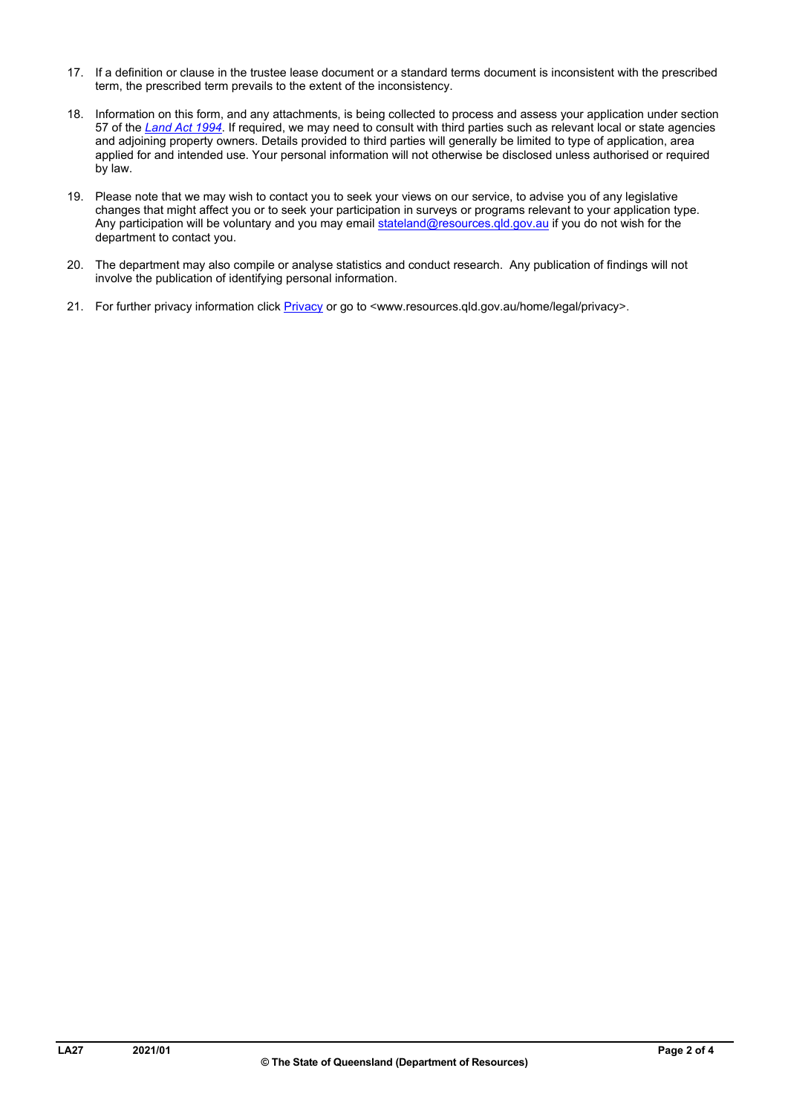- 17. If a definition or clause in the trustee lease document or a standard terms document is inconsistent with the prescribed term, the prescribed term prevails to the extent of the inconsistency.
- 18. Information on this form, and any attachments, is being collected to process and assess your application under section 57 of the *[Land Act 1994](https://www.legislation.qld.gov.au/view/html/inforce/current/act-1994-081)*. If required, we may need to consult with third parties such as relevant local or state agencies and adjoining property owners. Details provided to third parties will generally be limited to type of application, area applied for and intended use. Your personal information will not otherwise be disclosed unless authorised or required by law.
- 19. Please note that we may wish to contact you to seek your views on our service, to advise you of any legislative changes that might affect you or to seek your participation in surveys or programs relevant to your application type. Any participation will be voluntary and you may emai[l stateland@resources.qld.gov.au](mailto:stateland@resources.qld.gov.au) if you do not wish for the department to contact you.
- 20. The department may also compile or analyse statistics and conduct research. Any publication of findings will not involve the publication of identifying personal information.
- 21. For further privacy information clic[k Privacy](http://www.resources.qld.gov.au/home/legal/privacy) or go to <[www.resources.qld.gov.au/home/legal/privacy>](www.resources.qld.gov.au/home/legal/privacy).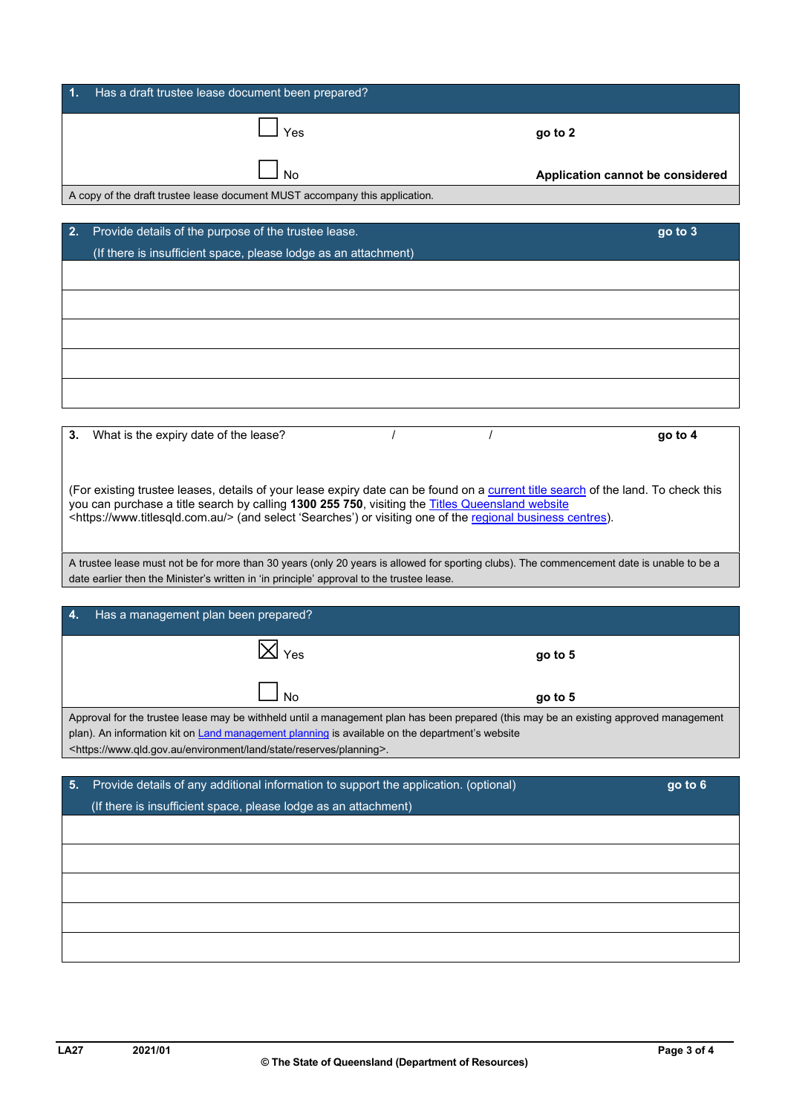| Has a draft trustee lease document been prepared?<br>$\mathbf{1}$ .         |                                  |
|-----------------------------------------------------------------------------|----------------------------------|
| Yes                                                                         | go to 2                          |
| No                                                                          | Application cannot be considered |
| A copy of the draft trustee lease document MUST accompany this application. |                                  |
|                                                                             |                                  |
| 2.<br>Provide details of the purpose of the trustee lease.                  | go to 3                          |
| (If there is insufficient space, please lodge as an attachment)             |                                  |
|                                                                             |                                  |
|                                                                             |                                  |
|                                                                             |                                  |
|                                                                             |                                  |
|                                                                             |                                  |

| 3. | What is the expiry date of the lease?                                                                                                                                                                                                                                                                                                                        |  | go to 4 |
|----|--------------------------------------------------------------------------------------------------------------------------------------------------------------------------------------------------------------------------------------------------------------------------------------------------------------------------------------------------------------|--|---------|
|    | (For existing trustee leases, details of your lease expiry date can be found on a current title search of the land. To check this<br>you can purchase a title search by calling 1300 255 750, visiting the Titles Queensland website<br><https: www.titlesqld.com.au=""></https:> (and select 'Searches') or visiting one of the regional business centres). |  |         |

A trustee lease must not be for more than 30 years (only 20 years is allowed for sporting clubs). The commencement date is unable to be a date earlier then the Minister's written in 'in principle' approval to the trustee lease.

| -4. | Has a management plan been prepared?                                                                                                                                                                                                                                                                                                    |           |  |  |  |
|-----|-----------------------------------------------------------------------------------------------------------------------------------------------------------------------------------------------------------------------------------------------------------------------------------------------------------------------------------------|-----------|--|--|--|
|     | $ \overline{X} _{\text{Yes}}$                                                                                                                                                                                                                                                                                                           | $90$ to 5 |  |  |  |
|     | Nο                                                                                                                                                                                                                                                                                                                                      | go to 5   |  |  |  |
|     | Approval for the trustee lease may be withheld until a management plan has been prepared (this may be an existing approved management<br>plan). An information kit on Land management planning is available on the department's website<br><https: environment="" land="" planning="" reserves="" state="" www.qld.gov.au="">.</https:> |           |  |  |  |
|     |                                                                                                                                                                                                                                                                                                                                         |           |  |  |  |
| 5.  | Provide details of any additional information to support the application. (optional)                                                                                                                                                                                                                                                    | go to 6   |  |  |  |
|     | (If there is insufficient space, please lodge as an attachment)                                                                                                                                                                                                                                                                         |           |  |  |  |
|     |                                                                                                                                                                                                                                                                                                                                         |           |  |  |  |
|     |                                                                                                                                                                                                                                                                                                                                         |           |  |  |  |
|     |                                                                                                                                                                                                                                                                                                                                         |           |  |  |  |
|     |                                                                                                                                                                                                                                                                                                                                         |           |  |  |  |
|     |                                                                                                                                                                                                                                                                                                                                         |           |  |  |  |